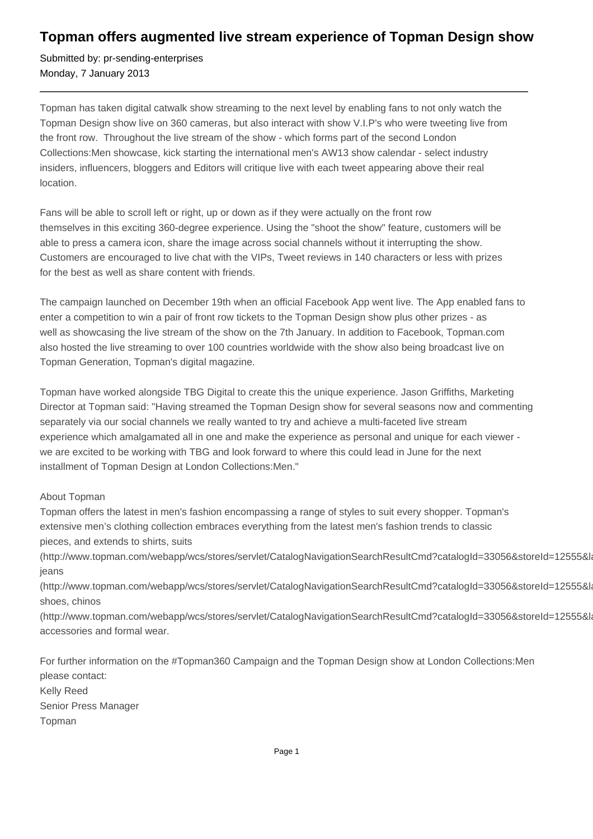## **Topman offers augmented live stream experience of Topman Design show**

Submitted by: pr-sending-enterprises Monday, 7 January 2013

Topman has taken digital catwalk show streaming to the next level by enabling fans to not only watch the Topman Design show live on 360 cameras, but also interact with show V.I.P's who were tweeting live from the front row. Throughout the live stream of the show - which forms part of the second London Collections:Men showcase, kick starting the international men's AW13 show calendar - select industry insiders, influencers, bloggers and Editors will critique live with each tweet appearing above their real location.

Fans will be able to scroll left or right, up or down as if they were actually on the front row themselves in this exciting 360-degree experience. Using the "shoot the show" feature, customers will be able to press a camera icon, share the image across social channels without it interrupting the show. Customers are encouraged to live chat with the VIPs, Tweet reviews in 140 characters or less with prizes for the best as well as share content with friends.

The campaign launched on December 19th when an official Facebook App went live. The App enabled fans to enter a competition to win a pair of front row tickets to the Topman Design show plus other prizes - as well as showcasing the live stream of the show on the 7th January. In addition to Facebook, Topman.com also hosted the live streaming to over 100 countries worldwide with the show also being broadcast live on Topman Generation, Topman's digital magazine.

Topman have worked alongside TBG Digital to create this the unique experience. Jason Griffiths, Marketing Director at Topman said: "Having streamed the Topman Design show for several seasons now and commenting separately via our social channels we really wanted to try and achieve a multi-faceted live stream experience which amalgamated all in one and make the experience as personal and unique for each viewer we are excited to be working with TBG and look forward to where this could lead in June for the next installment of Topman Design at London Collections:Men."

## About Topman

Topman offers the latest in men's fashion encompassing a range of styles to suit every shopper. Topman's extensive men's clothing collection embraces everything from the latest men's fashion trends to classic pieces, and extends to shirts, suits

(http://www.topman.com/webapp/wcs/stores/servlet/CatalogNavigationSearchResultCmd?catalogId=33056&storeId=12555&la jeans

(http://www.topman.com/webapp/wcs/stores/servlet/CatalogNavigationSearchResultCmd?catalogId=33056&storeId=12555&la shoes, chinos

(http://www.topman.com/webapp/wcs/stores/servlet/CatalogNavigationSearchResultCmd?catalogId=33056&storeId=12555&la accessories and formal wear.

For further information on the #Topman360 Campaign and the Topman Design show at London Collections:Men please contact: Kelly Reed Senior Press Manager Topman